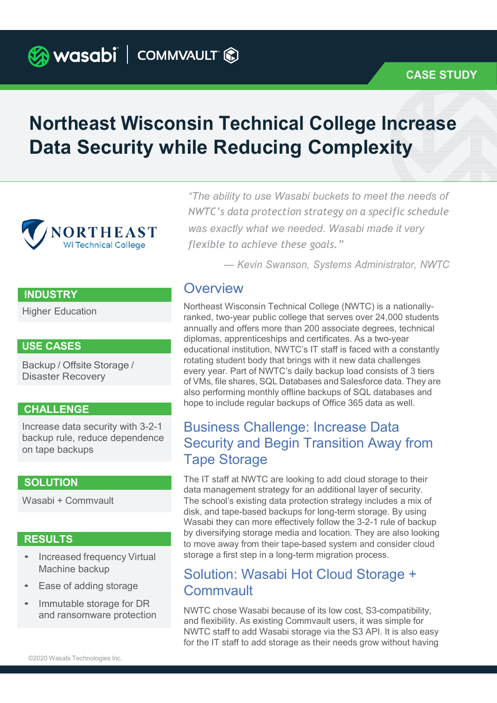**B** wasabi | COMMVAULT &

# Northeast Wisconsin Technical College Increase Data Security while Reducing Complexity



#### **INDUSTRY**

Higher Education

Backup / Offsite Storage / Disaster Recovery

#### CHALLENGE

Increase data security with 3-2-1 backup rule, reduce dependence on tape backups

Wasabi + Commvault

#### RESULTS

- Increased frequency Virtual Machine backup
- Ease of adding storage
- Immutable storage for DR and ransomware protection

"The ability to use Wasabi buckets to meet the needs of NWTC's data protection strategy on a specific schedule was exactly what we needed. Wasabi made it very flexible to achieve these goals."

— Kevin Swanson, Systems Administrator, NWTC

### **Overview**

Northeast Wisconsin Technical College (NWTC) is a nationallyranked, two-year public college that serves over 24,000 students annually and offers more than 200 associate degrees, technical diplomas, apprenticeships and certificates. As a two-year USE CASES<br>
educational institution, NWTC's IT staff is faced with a constantly rotating student body that brings with it new data challenges every year. Part of NWTC's daily backup load consists of 3 tiers of VMs, file shares, SQL Databases and Salesforce data. They are also performing monthly offline backups of SQL databases and hope to include regular backups of Office 365 data as well.

## Business Challenge: Increase Data Security and Begin Transition Away from Tape Storage

**SOLUTION** The IT staff at NWTC are looking to add cloud storage to their staff at  $\frac{1}{2}$  The IT staff at NWTC are looking to add cloud storage to their data management strategy for an additional layer of security. The school's existing data protection strategy includes a mix of disk, and tape-based backups for long-term storage. By using Wasabi they can more effectively follow the 3-2-1 rule of backup by diversifying storage media and location. They are also looking to move away from their tape-based system and consider cloud storage a first step in a long-term migration process.

## Solution: Wasabi Hot Cloud Storage + **Commvault**

NWTC chose Wasabi because of its low cost, S3-compatibility, and flexibility. As existing Commvault users, it was simple for NWTC staff to add Wasabi storage via the S3 API. It is also easy for the IT staff to add storage as their needs grow without having